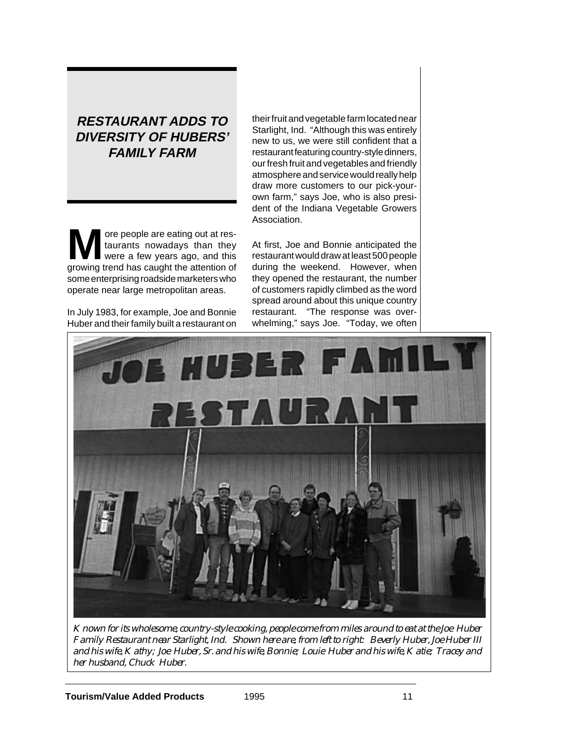# **RESTAURANT ADDS TO DIVERSITY OF HUBERS' FAMILY FARM**

**M** ore people are eating out at restaurants nowadays than they were a few years ago, and this taurants nowadays than they growing trend has caught the attention of some enterprising roadside marketers who operate near large metropolitan areas.

In July 1983, for example, Joe and Bonnie Huber and their family built a restaurant on their fruit and vegetable farm located near Starlight, Ind. "Although this was entirely new to us, we were still confident that a restaurant featuring country-style dinners, our fresh fruit and vegetables and friendly atmosphere and service would really help draw more customers to our pick-yourown farm," says Joe, who is also president of the Indiana Vegetable Growers Association.

At first, Joe and Bonnie anticipated the restaurant would draw at least 500 people during the weekend. However, when they opened the restaurant, the number of customers rapidly climbed as the word spread around about this unique country restaurant. "The response was overwhelming," says Joe. "Today, we often



*Known for its wholesome, country-style cooking, people come from miles around to eat at the Joe Huber Family Restaurant near Starlight, Ind. Shown here are, from left to right: Beverly Huber, Joe Huber III and his wife, Kathy; Joe Huber, Sr. and his wife, Bonnie; Louie Huber and his wife, Katie; Tracey and her husband, Chuck Huber.*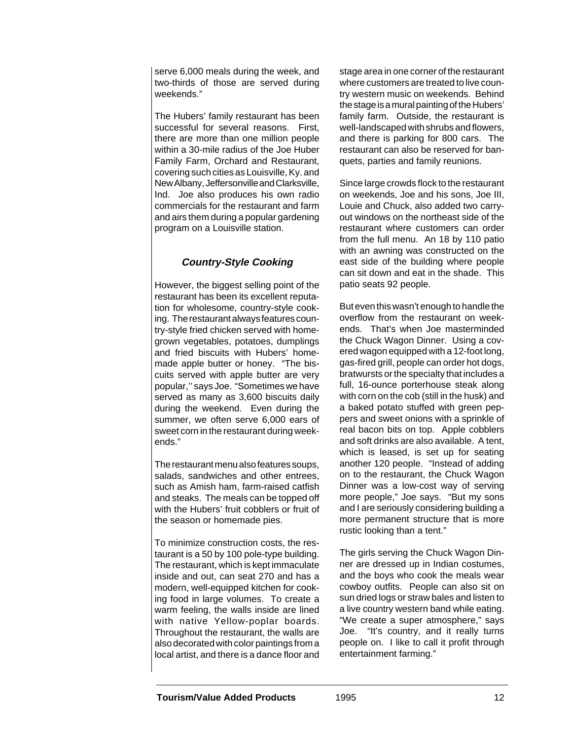serve 6,000 meals during the week, and two-thirds of those are served during weekends."

The Hubers' family restaurant has been successful for several reasons. First, there are more than one million people within a 30-mile radius of the Joe Huber Family Farm, Orchard and Restaurant, covering such cities as Louisville, Ky. and New Albany, Jeffersonville and Clarksville, Ind. Joe also produces his own radio commercials for the restaurant and farm and airs them during a popular gardening program on a Louisville station.

## **Country-Style Cooking**

However, the biggest selling point of the restaurant has been its excellent reputation for wholesome, country-style cooking. The restaurant always features country-style fried chicken served with homegrown vegetables, potatoes, dumplings and fried biscuits with Hubers' homemade apple butter or honey. "The biscuits served with apple butter are very popular,'' says Joe. "Sometimes we have served as many as 3,600 biscuits daily during the weekend. Even during the summer, we often serve 6,000 ears of sweet corn in the restaurant during weekends."

The restaurant menu also features soups, salads, sandwiches and other entrees, such as Amish ham, farm-raised catfish and steaks. The meals can be topped off with the Hubers' fruit cobblers or fruit of the season or homemade pies.

To minimize construction costs, the restaurant is a 50 by 100 pole-type building. The restaurant, which is kept immaculate inside and out, can seat 270 and has a modern, well-equipped kitchen for cooking food in large volumes. To create a warm feeling, the walls inside are lined with native Yellow-poplar boards. Throughout the restaurant, the walls are also decorated with color paintings from a local artist, and there is a dance floor and

stage area in one corner of the restaurant where customers are treated to live country western music on weekends. Behind the stage is a mural painting of the Hubers' family farm. Outside, the restaurant is well-landscaped with shrubs and flowers, and there is parking for 800 cars. The restaurant can also be reserved for banquets, parties and family reunions.

Since large crowds flock to the restaurant on weekends, Joe and his sons, Joe III, Louie and Chuck, also added two carryout windows on the northeast side of the restaurant where customers can order from the full menu. An 18 by 110 patio with an awning was constructed on the east side of the building where people can sit down and eat in the shade. This patio seats 92 people.

But even this wasn't enough to handle the overflow from the restaurant on weekends. That's when Joe masterminded the Chuck Wagon Dinner. Using a covered wagon equipped with a 12-foot long, gas-fired grill, people can order hot dogs, bratwursts or the specialty that includes a full, 16-ounce porterhouse steak along with corn on the cob (still in the husk) and a baked potato stuffed with green peppers and sweet onions with a sprinkle of real bacon bits on top. Apple cobblers and soft drinks are also available. A tent, which is leased, is set up for seating another 120 people. "Instead of adding on to the restaurant, the Chuck Wagon Dinner was a low-cost way of serving more people," Joe says. "But my sons and I are seriously considering building a more permanent structure that is more rustic looking than a tent."

The girls serving the Chuck Wagon Dinner are dressed up in Indian costumes, and the boys who cook the meals wear cowboy outfits. People can also sit on sun dried logs or straw bales and listen to a live country western band while eating. "We create a super atmosphere," says Joe. "It's country, and it really turns people on. I like to call it profit through entertainment farming."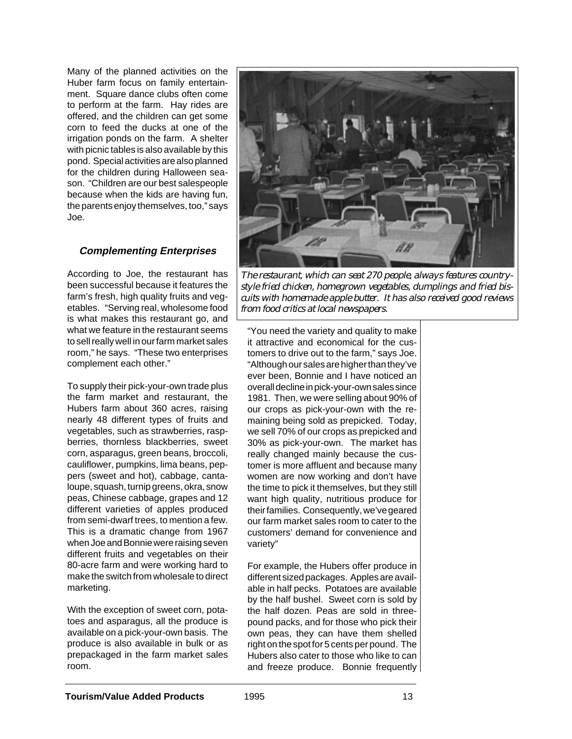Many of the planned activities on the Huber farm focus on family entertainment. Square dance clubs often come to perform at the farm. Hay rides are offered, and the children can get some corn to feed the ducks at one of the irrigation ponds on the farm. A shelter with picnic tables is also available by this pond. Special activities are also planned for the children during Halloween season. "Children are our best salespeople because when the kids are having fun, the parents enjoy themselves, too," says Joe.

## **Complementing Enterprises**

According to Joe, the restaurant has been successful because it features the farm's fresh, high quality fruits and vegetables. "Serving real, wholesome food is what makes this restaurant go, and what we feature in the restaurant seems to sell really well in our farm market sales room," he says. "These two enterprises complement each other."

To supply their pick-your-own trade plus the farm market and restaurant, the Hubers farm about 360 acres, raising nearly 48 different types of fruits and vegetables, such as strawberries, raspberries, thornless blackberries, sweet corn, asparagus, green beans, broccoli, cauliflower, pumpkins, lima beans, peppers (sweet and hot), cabbage, cantaloupe, squash, turnip greens, okra, snow peas, Chinese cabbage, grapes and 12 different varieties of apples produced from semi-dwarf trees, to mention a few. This is a dramatic change from 1967 when Joe and Bonnie were raising seven different fruits and vegetables on their 80-acre farm and were working hard to make the switch from wholesale to direct marketing.

With the exception of sweet corn, potatoes and asparagus, all the produce is available on a pick-your-own basis. The produce is also available in bulk or as prepackaged in the farm market sales room.



*The restaurant, which can seat 270 people, always features countrystyle fried chicken, homegrown vegetables, dumplings and fried biscuits with homemade apple butter. It has also received good reviews from food critics at local newspapers.*

"You need the variety and quality to make it attractive and economical for the customers to drive out to the farm," says Joe. "Although our sales are higher than they've ever been, Bonnie and I have noticed an overall decline in pick-your-own sales since 1981. Then, we were selling about 90% of our crops as pick-your-own with the remaining being sold as prepicked. Today, we sell 70% of our crops as prepicked and 30% as pick-your-own. The market has really changed mainly because the customer is more affluent and because many women are now working and don't have the time to pick it themselves, but they still want high quality, nutritious produce for their families. Consequently, we've geared our farm market sales room to cater to the customers' demand for convenience and variety"

For example, the Hubers offer produce in different sized packages. Apples are available in half pecks. Potatoes are available by the half bushel. Sweet corn is sold by the half dozen. Peas are sold in threepound packs, and for those who pick their own peas, they can have them shelled right on the spot for 5 cents per pound. The Hubers also cater to those who like to can and freeze produce. Bonnie frequently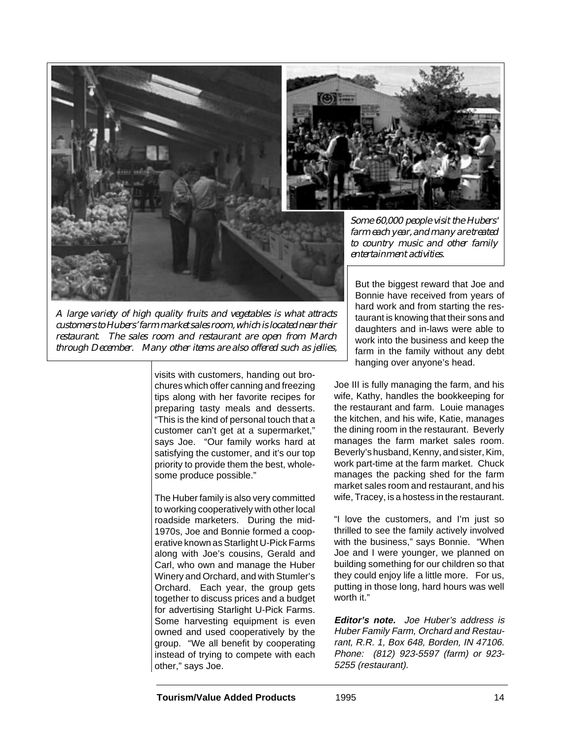

*A large variety of high quality fruits and vegetables is what attracts customers to Hubers' farm market sales room, which is located near their restaurant. The sales room and restaurant are open from March through December. Many other items are also offered such as jellies,*

visits with customers, handing out brochures which offer canning and freezing tips along with her favorite recipes for preparing tasty meals and desserts. "This is the kind of personal touch that a customer can't get at a supermarket," says Joe. "Our family works hard at satisfying the customer, and it's our top priority to provide them the best, wholesome produce possible."

The Huber family is also very committed to working cooperatively with other local roadside marketers. During the mid-1970s, Joe and Bonnie formed a cooperative known as Starlight U-Pick Farms along with Joe's cousins, Gerald and Carl, who own and manage the Huber Winery and Orchard, and with Stumler's Orchard. Each year, the group gets together to discuss prices and a budget for advertising Starlight U-Pick Farms. Some harvesting equipment is even owned and used cooperatively by the group. "We all benefit by cooperating instead of trying to compete with each other," says Joe.



*Some 60,000 people visit the Hubers' farm each year, and many are treated to country music and other family entertainment activities.*

But the biggest reward that Joe and Bonnie have received from years of hard work and from starting the restaurant is knowing that their sons and daughters and in-laws were able to work into the business and keep the farm in the family without any debt hanging over anyone's head.

Joe III is fully managing the farm, and his wife, Kathy, handles the bookkeeping for the restaurant and farm. Louie manages the kitchen, and his wife, Katie, manages the dining room in the restaurant. Beverly manages the farm market sales room. Beverly's husband, Kenny, and sister, Kim, work part-time at the farm market. Chuck manages the packing shed for the farm market sales room and restaurant, and his wife, Tracey, is a hostess in the restaurant.

"I love the customers, and I'm just so thrilled to see the family actively involved with the business," says Bonnie. "When Joe and I were younger, we planned on building something for our children so that they could enjoy life a little more. For us, putting in those long, hard hours was well worth it."

**Editor's note.** Joe Huber's address is Huber Family Farm, Orchard and Restaurant, R.R. 1, Box 648, Borden, IN 47106. Phone: (812) 923-5597 (farm) or 923- 5255 (restaurant).